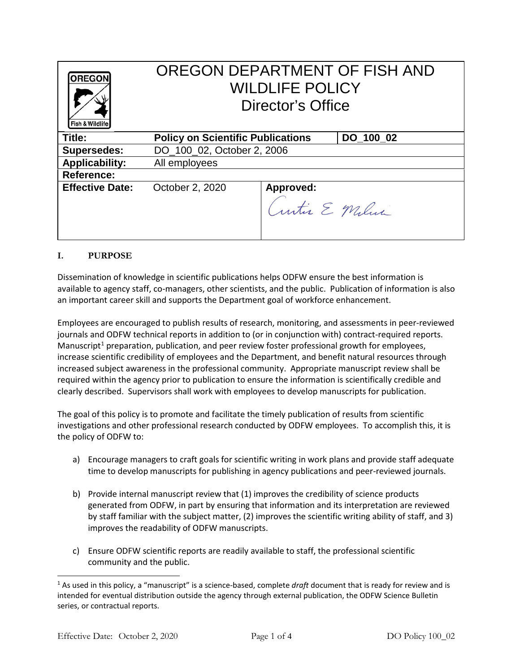| <b>OREGON</b><br>Fish & Wildlife | OREGON DEPARTMENT OF FISH AND<br><b>WILDLIFE POLICY</b><br>Director's Office |                             |           |
|----------------------------------|------------------------------------------------------------------------------|-----------------------------|-----------|
| Title:                           | <b>Policy on Scientific Publications</b>                                     |                             | DO 100 02 |
| <b>Supersedes:</b>               | DO 100 02, October 2, 2006                                                   |                             |           |
| <b>Applicability:</b>            | All employees                                                                |                             |           |
| Reference:                       |                                                                              |                             |           |
| <b>Effective Date:</b>           | October 2, 2020                                                              | Approved:<br>Curtis E Milna |           |

## **I. PURPOSE**

Dissemination of knowledge in scientific publications helps ODFW ensure the best information is available to agency staff, co-managers, other scientists, and the public. Publication of information is also an important career skill and supports the Department goal of workforce enhancement.

Employees are encouraged to publish results of research, monitoring, and assessments in peer-reviewed journals and ODFW technical reports in addition to (or in conjunction with) contract-required reports. Manuscript<sup>[1](#page-0-0)</sup> preparation, publication, and peer review foster professional growth for employees, increase scientific credibility of employees and the Department, and benefit natural resources through increased subject awareness in the professional community. Appropriate manuscript review shall be required within the agency prior to publication to ensure the information is scientifically credible and clearly described. Supervisors shall work with employees to develop manuscripts for publication.

The goal of this policy is to promote and facilitate the timely publication of results from scientific investigations and other professional research conducted by ODFW employees. To accomplish this, it is the policy of ODFW to:

- a) Encourage managers to craft goals for scientific writing in work plans and provide staff adequate time to develop manuscripts for publishing in agency publications and peer-reviewed journals.
- b) Provide internal manuscript review that (1) improves the credibility of science products generated from ODFW, in part by ensuring that information and its interpretation are reviewed by staff familiar with the subject matter, (2) improves the scientific writing ability of staff, and 3) improves the readability of ODFW manuscripts.
- c) Ensure ODFW scientific reports are readily available to staff, the professional scientific community and the public.

-

<span id="page-0-0"></span><sup>1</sup> As used in this policy, a "manuscript" is a science-based, complete *draft* document that is ready for review and is intended for eventual distribution outside the agency through external publication, the ODFW Science Bulletin series, or contractual reports.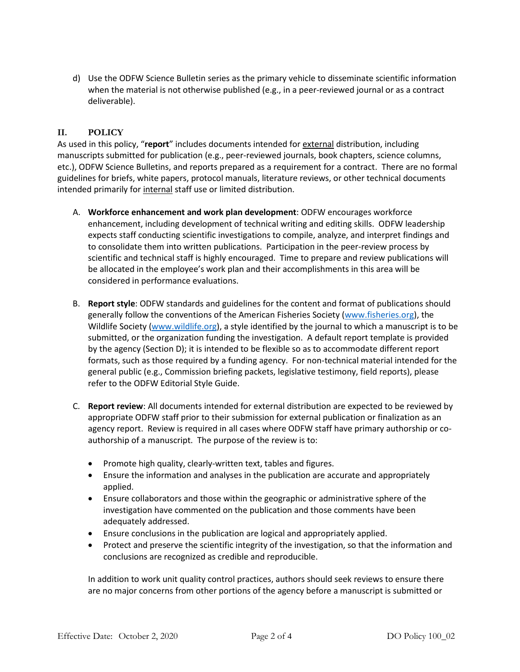d) Use the ODFW Science Bulletin series as the primary vehicle to disseminate scientific information when the material is not otherwise published (e.g., in a peer-reviewed journal or as a contract deliverable).

## **II. POLICY**

As used in this policy, "**report**" includes documents intended for external distribution, including manuscripts submitted for publication (e.g., peer-reviewed journals, book chapters, science columns, etc.), ODFW Science Bulletins, and reports prepared as a requirement for a contract. There are no formal guidelines for briefs, white papers, protocol manuals, literature reviews, or other technical documents intended primarily for internal staff use or limited distribution.

- A. **Workforce enhancement and work plan development**: ODFW encourages workforce enhancement, including development of technical writing and editing skills. ODFW leadership expects staff conducting scientific investigations to compile, analyze, and interpret findings and to consolidate them into written publications. Participation in the peer-review process by scientific and technical staff is highly encouraged. Time to prepare and review publications will be allocated in the employee's work plan and their accomplishments in this area will be considered in performance evaluations.
- B. **Report style**: ODFW standards and guidelines for the content and format of publications should generally follow the conventions of the American Fisheries Society [\(www.fisheries.org\)](http://www.fisheries.org/), the Wildlife Society [\(www.wildlife.org\)](http://www.wildlife.org/), a style identified by the journal to which a manuscript is to be submitted, or the organization funding the investigation. A default report template is provided by the agency (Section D); it is intended to be flexible so as to accommodate different report formats, such as those required by a funding agency. For non-technical material intended for the general public (e.g., Commission briefing packets, legislative testimony, field reports), please refer to the ODFW Editorial Style Guide.
- C. **Report review**: All documents intended for external distribution are expected to be reviewed by appropriate ODFW staff prior to their submission for external publication or finalization as an agency report. Review is required in all cases where ODFW staff have primary authorship or coauthorship of a manuscript. The purpose of the review is to:
	- Promote high quality, clearly-written text, tables and figures.
	- Ensure the information and analyses in the publication are accurate and appropriately applied.
	- Ensure collaborators and those within the geographic or administrative sphere of the investigation have commented on the publication and those comments have been adequately addressed.
	- Ensure conclusions in the publication are logical and appropriately applied.
	- Protect and preserve the scientific integrity of the investigation, so that the information and conclusions are recognized as credible and reproducible.

In addition to work unit quality control practices, authors should seek reviews to ensure there are no major concerns from other portions of the agency before a manuscript is submitted or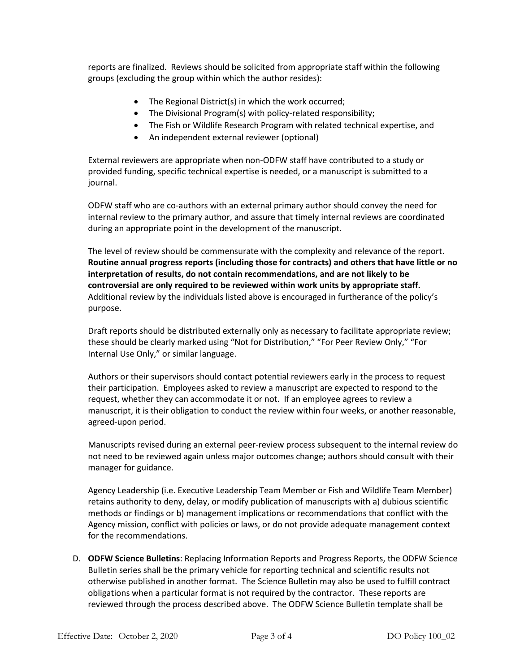reports are finalized. Reviews should be solicited from appropriate staff within the following groups (excluding the group within which the author resides):

- The Regional District(s) in which the work occurred;
- The Divisional Program(s) with policy-related responsibility;
- The Fish or Wildlife Research Program with related technical expertise, and
- An independent external reviewer (optional)

External reviewers are appropriate when non-ODFW staff have contributed to a study or provided funding, specific technical expertise is needed, or a manuscript is submitted to a journal.

ODFW staff who are co-authors with an external primary author should convey the need for internal review to the primary author, and assure that timely internal reviews are coordinated during an appropriate point in the development of the manuscript.

The level of review should be commensurate with the complexity and relevance of the report. **Routine annual progress reports (including those for contracts) and others that have little or no interpretation of results, do not contain recommendations, and are not likely to be controversial are only required to be reviewed within work units by appropriate staff.** Additional review by the individuals listed above is encouraged in furtherance of the policy's purpose.

Draft reports should be distributed externally only as necessary to facilitate appropriate review; these should be clearly marked using "Not for Distribution," "For Peer Review Only," "For Internal Use Only," or similar language.

Authors or their supervisors should contact potential reviewers early in the process to request their participation. Employees asked to review a manuscript are expected to respond to the request, whether they can accommodate it or not. If an employee agrees to review a manuscript, it is their obligation to conduct the review within four weeks, or another reasonable, agreed-upon period.

Manuscripts revised during an external peer-review process subsequent to the internal review do not need to be reviewed again unless major outcomes change; authors should consult with their manager for guidance.

Agency Leadership (i.e. Executive Leadership Team Member or Fish and Wildlife Team Member) retains authority to deny, delay, or modify publication of manuscripts with a) dubious scientific methods or findings or b) management implications or recommendations that conflict with the Agency mission, conflict with policies or laws, or do not provide adequate management context for the recommendations.

D. **ODFW Science Bulletins**: Replacing Information Reports and Progress Reports, the ODFW Science Bulletin series shall be the primary vehicle for reporting technical and scientific results not otherwise published in another format. The Science Bulletin may also be used to fulfill contract obligations when a particular format is not required by the contractor. These reports are reviewed through the process described above. The ODFW Science Bulletin template shall be